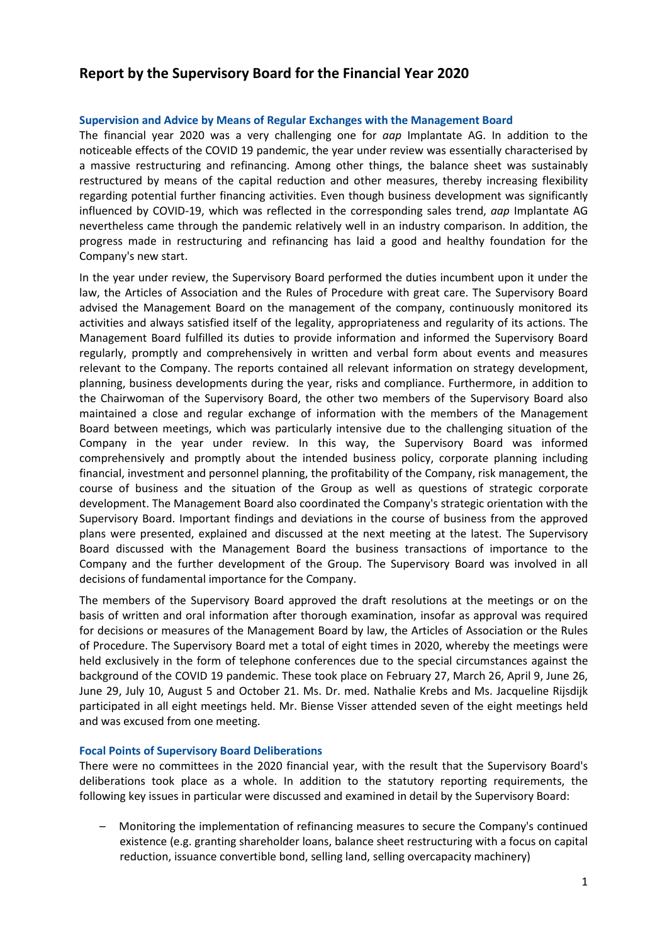# **Report by the Supervisory Board for the Financial Year 2020**

### **Supervision and Advice by Means of Regular Exchanges with the Management Board**

The financial year 2020 was a very challenging one for *aap* Implantate AG. In addition to the noticeable effects of the COVID 19 pandemic, the year under review was essentially characterised by a massive restructuring and refinancing. Among other things, the balance sheet was sustainably restructured by means of the capital reduction and other measures, thereby increasing flexibility regarding potential further financing activities. Even though business development was significantly influenced by COVID-19, which was reflected in the corresponding sales trend, *aap* Implantate AG nevertheless came through the pandemic relatively well in an industry comparison. In addition, the progress made in restructuring and refinancing has laid a good and healthy foundation for the Company's new start.

In the year under review, the Supervisory Board performed the duties incumbent upon it under the law, the Articles of Association and the Rules of Procedure with great care. The Supervisory Board advised the Management Board on the management of the company, continuously monitored its activities and always satisfied itself of the legality, appropriateness and regularity of its actions. The Management Board fulfilled its duties to provide information and informed the Supervisory Board regularly, promptly and comprehensively in written and verbal form about events and measures relevant to the Company. The reports contained all relevant information on strategy development, planning, business developments during the year, risks and compliance. Furthermore, in addition to the Chairwoman of the Supervisory Board, the other two members of the Supervisory Board also maintained a close and regular exchange of information with the members of the Management Board between meetings, which was particularly intensive due to the challenging situation of the Company in the year under review. In this way, the Supervisory Board was informed comprehensively and promptly about the intended business policy, corporate planning including financial, investment and personnel planning, the profitability of the Company, risk management, the course of business and the situation of the Group as well as questions of strategic corporate development. The Management Board also coordinated the Company's strategic orientation with the Supervisory Board. Important findings and deviations in the course of business from the approved plans were presented, explained and discussed at the next meeting at the latest. The Supervisory Board discussed with the Management Board the business transactions of importance to the Company and the further development of the Group. The Supervisory Board was involved in all decisions of fundamental importance for the Company.

The members of the Supervisory Board approved the draft resolutions at the meetings or on the basis of written and oral information after thorough examination, insofar as approval was required for decisions or measures of the Management Board by law, the Articles of Association or the Rules of Procedure. The Supervisory Board met a total of eight times in 2020, whereby the meetings were held exclusively in the form of telephone conferences due to the special circumstances against the background of the COVID 19 pandemic. These took place on February 27, March 26, April 9, June 26, June 29, July 10, August 5 and October 21. Ms. Dr. med. Nathalie Krebs and Ms. Jacqueline Rijsdijk participated in all eight meetings held. Mr. Biense Visser attended seven of the eight meetings held and was excused from one meeting.

#### **Focal Points of Supervisory Board Deliberations**

There were no committees in the 2020 financial year, with the result that the Supervisory Board's deliberations took place as a whole. In addition to the statutory reporting requirements, the following key issues in particular were discussed and examined in detail by the Supervisory Board:

– Monitoring the implementation of refinancing measures to secure the Company's continued existence (e.g. granting shareholder loans, balance sheet restructuring with a focus on capital reduction, issuance convertible bond, selling land, selling overcapacity machinery)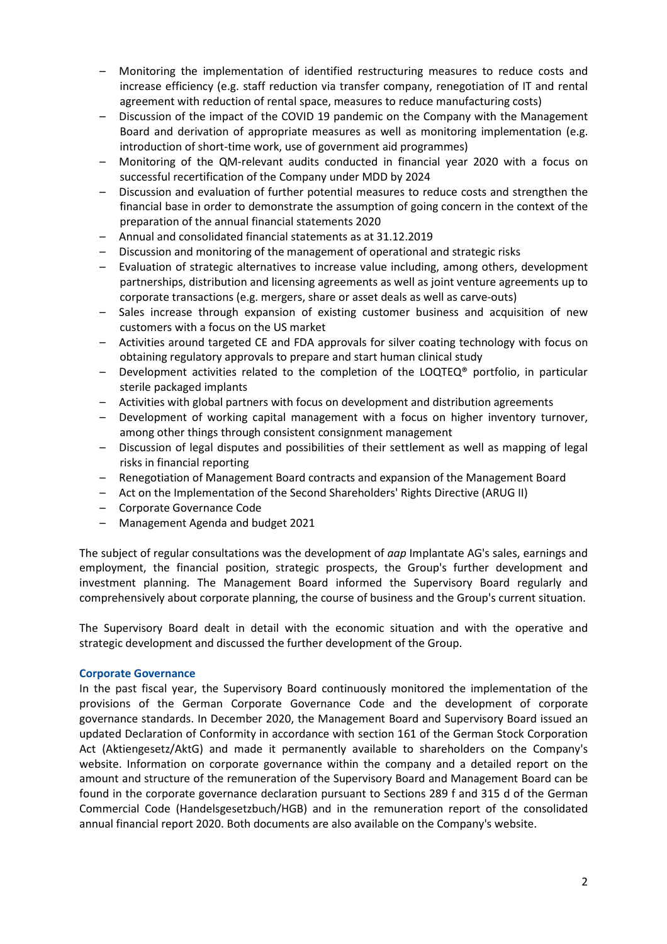- Monitoring the implementation of identified restructuring measures to reduce costs and increase efficiency (e.g. staff reduction via transfer company, renegotiation of IT and rental agreement with reduction of rental space, measures to reduce manufacturing costs)
- Discussion of the impact of the COVID 19 pandemic on the Company with the Management Board and derivation of appropriate measures as well as monitoring implementation (e.g. introduction of short-time work, use of government aid programmes)
- Monitoring of the QM-relevant audits conducted in financial year 2020 with a focus on successful recertification of the Company under MDD by 2024
- Discussion and evaluation of further potential measures to reduce costs and strengthen the financial base in order to demonstrate the assumption of going concern in the context of the preparation of the annual financial statements 2020
- Annual and consolidated financial statements as at 31.12.2019
- Discussion and monitoring of the management of operational and strategic risks
- Evaluation of strategic alternatives to increase value including, among others, development partnerships, distribution and licensing agreements as well as joint venture agreements up to corporate transactions (e.g. mergers, share or asset deals as well as carve-outs)
- Sales increase through expansion of existing customer business and acquisition of new customers with a focus on the US market
- Activities around targeted CE and FDA approvals for silver coating technology with focus on obtaining regulatory approvals to prepare and start human clinical study
- Development activities related to the completion of the LOQTEQ® portfolio, in particular sterile packaged implants
- Activities with global partners with focus on development and distribution agreements
- Development of working capital management with a focus on higher inventory turnover, among other things through consistent consignment management
- Discussion of legal disputes and possibilities of their settlement as well as mapping of legal risks in financial reporting
- Renegotiation of Management Board contracts and expansion of the Management Board
- Act on the Implementation of the Second Shareholders' Rights Directive (ARUG II)
- Corporate Governance Code
- Management Agenda and budget 2021

The subject of regular consultations was the development of *aap* Implantate AG's sales, earnings and employment, the financial position, strategic prospects, the Group's further development and investment planning. The Management Board informed the Supervisory Board regularly and comprehensively about corporate planning, the course of business and the Group's current situation.

The Supervisory Board dealt in detail with the economic situation and with the operative and strategic development and discussed the further development of the Group.

## **Corporate Governance**

In the past fiscal year, the Supervisory Board continuously monitored the implementation of the provisions of the German Corporate Governance Code and the development of corporate governance standards. In December 2020, the Management Board and Supervisory Board issued an updated Declaration of Conformity in accordance with section 161 of the German Stock Corporation Act (Aktiengesetz/AktG) and made it permanently available to shareholders on the Company's website. Information on corporate governance within the company and a detailed report on the amount and structure of the remuneration of the Supervisory Board and Management Board can be found in the corporate governance declaration pursuant to Sections 289 f and 315 d of the German Commercial Code (Handelsgesetzbuch/HGB) and in the remuneration report of the consolidated annual financial report 2020. Both documents are also available on the Company's website.